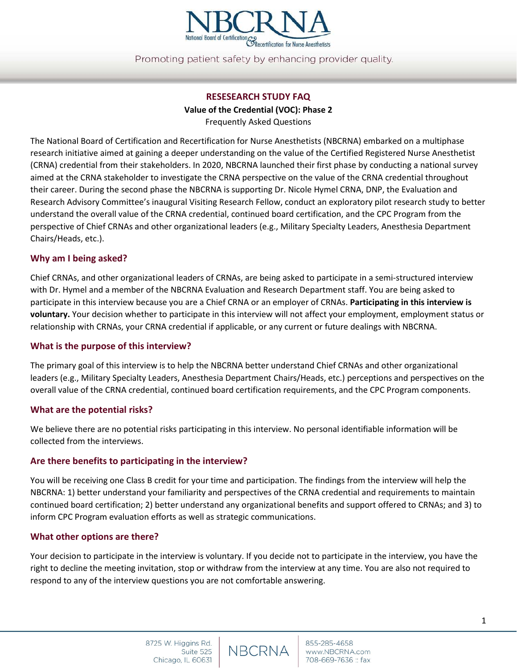

Promoting patient safety by enhancing provider quality.

# **RESESEARCH STUDY FAQ Value of the Credential (VOC): Phase 2** Frequently Asked Questions

The National Board of Certification and Recertification for Nurse Anesthetists (NBCRNA) embarked on a multiphase research initiative aimed at gaining a deeper understanding on the value of the Certified Registered Nurse Anesthetist (CRNA) credential from their stakeholders. In 2020, NBCRNA launched their first phase by conducting a national survey aimed at the CRNA stakeholder to investigate the CRNA perspective on the value of the CRNA credential throughout their career. During the second phase the NBCRNA is supporting Dr. Nicole Hymel CRNA, DNP, the Evaluation and Research Advisory Committee's inaugural Visiting Research Fellow, conduct an exploratory pilot research study to better understand the overall value of the CRNA credential, continued board certification, and the CPC Program from the perspective of Chief CRNAs and other organizational leaders (e.g., Military Specialty Leaders, Anesthesia Department Chairs/Heads, etc.).

### **Why am I being asked?**

Chief CRNAs, and other organizational leaders of CRNAs, are being asked to participate in a semi-structured interview with Dr. Hymel and a member of the NBCRNA Evaluation and Research Department staff. You are being asked to participate in this interview because you are a Chief CRNA or an employer of CRNAs. **Participating in this interview is voluntary.** Your decision whether to participate in this interview will not affect your employment, employment status or relationship with CRNAs, your CRNA credential if applicable, or any current or future dealings with NBCRNA.

#### **What is the purpose of this interview?**

The primary goal of this interview is to help the NBCRNA better understand Chief CRNAs and other organizational leaders (e.g., Military Specialty Leaders, Anesthesia Department Chairs/Heads, etc.) perceptions and perspectives on the overall value of the CRNA credential, continued board certification requirements, and the CPC Program components.

#### **What are the potential risks?**

We believe there are no potential risks participating in this interview. No personal identifiable information will be collected from the interviews.

# **Are there benefits to participating in the interview?**

You will be receiving one Class B credit for your time and participation. The findings from the interview will help the NBCRNA: 1) better understand your familiarity and perspectives of the CRNA credential and requirements to maintain continued board certification; 2) better understand any organizational benefits and support offered to CRNAs; and 3) to inform CPC Program evaluation efforts as well as strategic communications.

#### **What other options are there?**

Your decision to participate in the interview is voluntary. If you decide not to participate in the interview, you have the right to decline the meeting invitation, stop or withdraw from the interview at any time. You are also not required to respond to any of the interview questions you are not comfortable answering.

**NBCRNA**